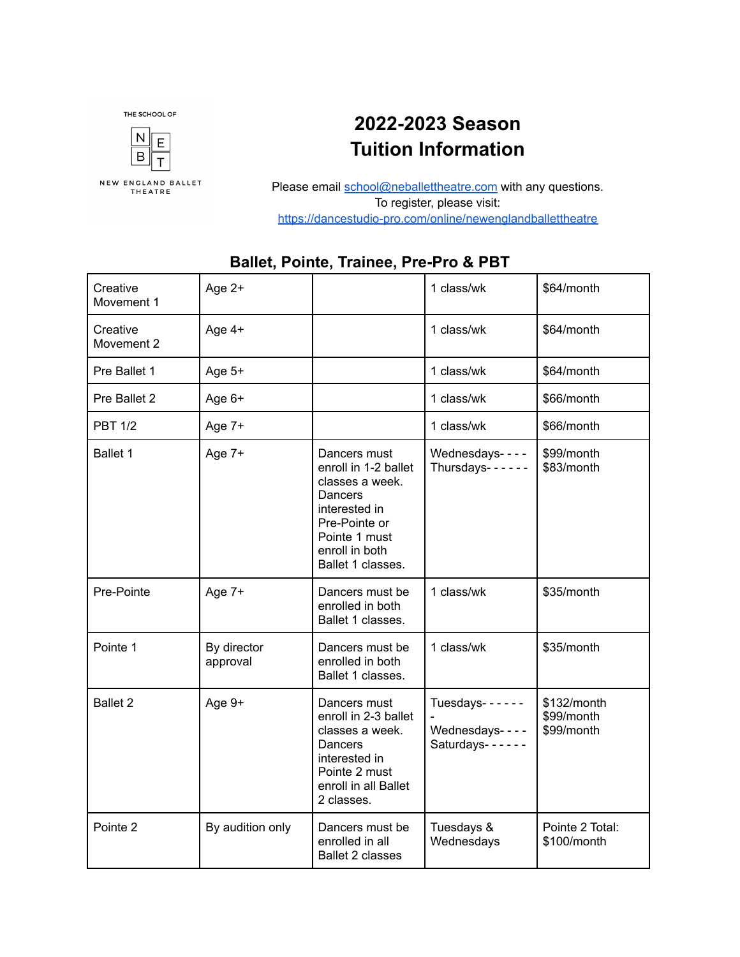

## **2022-2023 Season Tuition Information**

Please email [school@neballettheatre.com](mailto:school@neballettheatre.com) with any questions. To register, please visit: <https://dancestudio-pro.com/online/newenglandballettheatre>

| Creative<br>Movement 1 | Age $2+$                |                                                                                                                                                              | 1 class/wk                                          | \$64/month                              |
|------------------------|-------------------------|--------------------------------------------------------------------------------------------------------------------------------------------------------------|-----------------------------------------------------|-----------------------------------------|
| Creative<br>Movement 2 | Age $4+$                |                                                                                                                                                              | 1 class/wk                                          | \$64/month                              |
| Pre Ballet 1           | Age 5+                  |                                                                                                                                                              | 1 class/wk                                          | \$64/month                              |
| Pre Ballet 2           | Age 6+                  |                                                                                                                                                              | 1 class/wk                                          | \$66/month                              |
| <b>PBT 1/2</b>         | Age 7+                  |                                                                                                                                                              | 1 class/wk                                          | \$66/month                              |
| Ballet 1               | Age 7+                  | Dancers must<br>enroll in 1-2 ballet<br>classes a week.<br>Dancers<br>interested in<br>Pre-Pointe or<br>Pointe 1 must<br>enroll in both<br>Ballet 1 classes. | Wednesdays----<br>Thursdays- $- - - -$              | \$99/month<br>\$83/month                |
| Pre-Pointe             | Age 7+                  | Dancers must be<br>enrolled in both<br>Ballet 1 classes.                                                                                                     | 1 class/wk                                          | \$35/month                              |
| Pointe 1               | By director<br>approval | Dancers must be<br>enrolled in both<br>Ballet 1 classes.                                                                                                     | 1 class/wk                                          | \$35/month                              |
| <b>Ballet 2</b>        | Age 9+                  | Dancers must<br>enroll in 2-3 ballet<br>classes a week.<br>Dancers<br>interested in<br>Pointe 2 must<br>enroll in all Ballet<br>2 classes.                   | Tuesdays------<br>Wednesdays----<br>Saturdays------ | \$132/month<br>\$99/month<br>\$99/month |
| Pointe <sub>2</sub>    | By audition only        | Dancers must be<br>enrolled in all<br><b>Ballet 2 classes</b>                                                                                                | Tuesdays &<br>Wednesdays                            | Pointe 2 Total:<br>\$100/month          |

## **Ballet, Pointe, Trainee, Pre-Pro & PBT**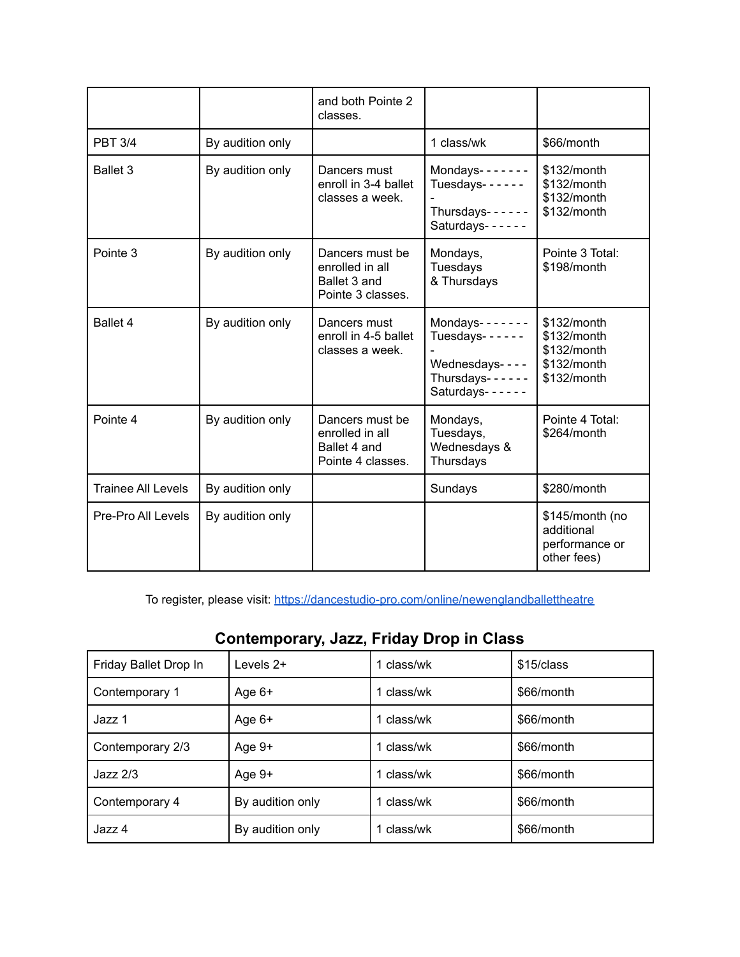|                           |                  | and both Pointe 2<br>classes.                                           |                                                                                                          |                                                                           |
|---------------------------|------------------|-------------------------------------------------------------------------|----------------------------------------------------------------------------------------------------------|---------------------------------------------------------------------------|
| <b>PBT 3/4</b>            | By audition only |                                                                         | 1 class/wk                                                                                               | \$66/month                                                                |
| Ballet 3                  | By audition only | Dancers must<br>enroll in 3-4 ballet<br>classes a week.                 | Mondays- $- - - -$<br>Tuesdays- $- - - -$<br>Thursdays- $---$<br>Saturdays------                         | \$132/month<br>\$132/month<br>\$132/month<br>\$132/month                  |
| Pointe 3                  | By audition only | Dancers must be<br>enrolled in all<br>Ballet 3 and<br>Pointe 3 classes. | Mondays,<br><b>Tuesdays</b><br>& Thursdays                                                               | Pointe 3 Total:<br>\$198/month                                            |
| Ballet 4                  | By audition only | Dancers must<br>enroll in 4-5 ballet<br>classes a week.                 | Mondays- $- - - - -$<br>Tuesdays- $- - - -$<br>Wednesdays----<br>Thursdays- $- - - -$<br>Saturdays------ | $$132/m$ onth<br>\$132/month<br>\$132/month<br>\$132/month<br>\$132/month |
| Pointe 4                  | By audition only | Dancers must be<br>enrolled in all<br>Ballet 4 and<br>Pointe 4 classes. | Mondays,<br>Tuesdays,<br>Wednesdays &<br>Thursdays                                                       | Pointe 4 Total:<br>\$264/month                                            |
| <b>Trainee All Levels</b> | By audition only |                                                                         | Sundays                                                                                                  | \$280/month                                                               |
| Pre-Pro All Levels        | By audition only |                                                                         |                                                                                                          | \$145/month (no<br>additional<br>performance or<br>other fees)            |

To register, please visit: <https://dancestudio-pro.com/online/newenglandballettheatre>

|                       | . .              |            |            |
|-----------------------|------------------|------------|------------|
| Friday Ballet Drop In | Levels 2+        | class/wk   | \$15/class |
| Contemporary 1        | Age $6+$         | 1 class/wk | \$66/month |
| Jazz 1                | Age $6+$         | 1 class/wk | \$66/month |
| Contemporary 2/3      | Age 9+           | class/wk   | \$66/month |
| $Jazz$ $2/3$          | Age 9+           | class/wk   | \$66/month |
| Contemporary 4        | By audition only | class/wk   | \$66/month |
| Jazz 4                | By audition only | class/wk   | \$66/month |

## **Contemporary, Jazz, Friday Drop in Class**